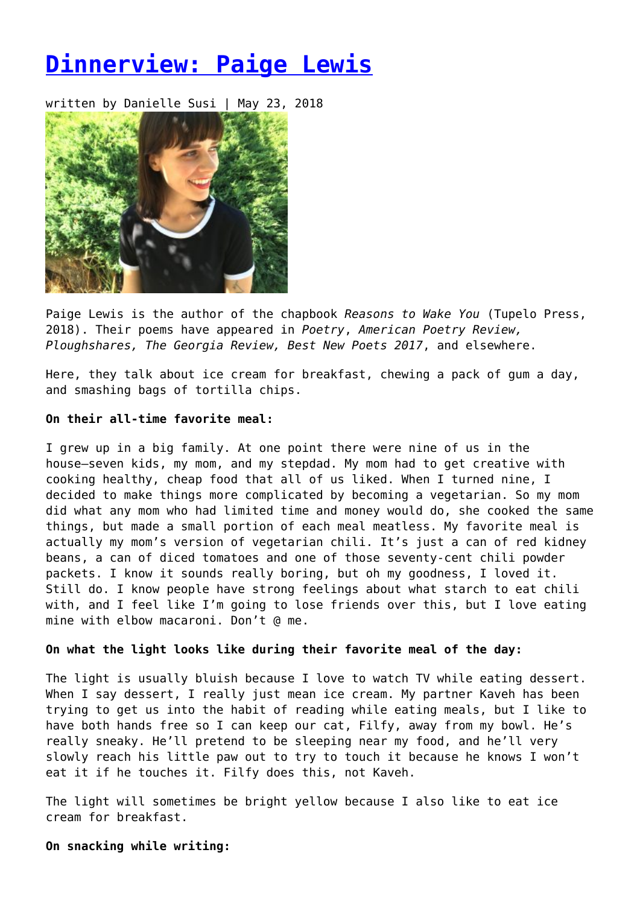# **[Dinnerview: Paige Lewis](https://entropymag.org/dinnerview-paige-lewis/)**

written by Danielle Susi | May 23, 2018



Paige Lewis is the author of the chapbook *Reasons to Wake You* (Tupelo Press, 2018). Their poems have appeared in *Poetry*, *American Poetry Review, Ploughshares, The Georgia Review, Best New Poets 2017*, and elsewhere.

Here, they talk about ice cream for breakfast, chewing a pack of gum a day, and smashing bags of tortilla chips.

## **On their all-time favorite meal:**

I grew up in a big family. At one point there were nine of us in the house—seven kids, my mom, and my stepdad. My mom had to get creative with cooking healthy, cheap food that all of us liked. When I turned nine, I decided to make things more complicated by becoming a vegetarian. So my mom did what any mom who had limited time and money would do, she cooked the same things, but made a small portion of each meal meatless. My favorite meal is actually my mom's version of vegetarian chili. It's just a can of red kidney beans, a can of diced tomatoes and one of those seventy-cent chili powder packets. I know it sounds really boring, but oh my goodness, I loved it. Still do. I know people have strong feelings about what starch to eat chili with, and I feel like I'm going to lose friends over this, but I love eating mine with elbow macaroni. Don't @ me.

### **On what the light looks like during their favorite meal of the day:**

The light is usually bluish because I love to watch TV while eating dessert. When I say dessert, I really just mean ice cream. My partner Kaveh has been trying to get us into the habit of reading while eating meals, but I like to have both hands free so I can keep our cat, Filfy, away from my bowl. He's really sneaky. He'll pretend to be sleeping near my food, and he'll very slowly reach his little paw out to try to touch it because he knows I won't eat it if he touches it. Filfy does this, not Kaveh.

The light will sometimes be bright yellow because I also like to eat ice cream for breakfast.

**On snacking while writing:**